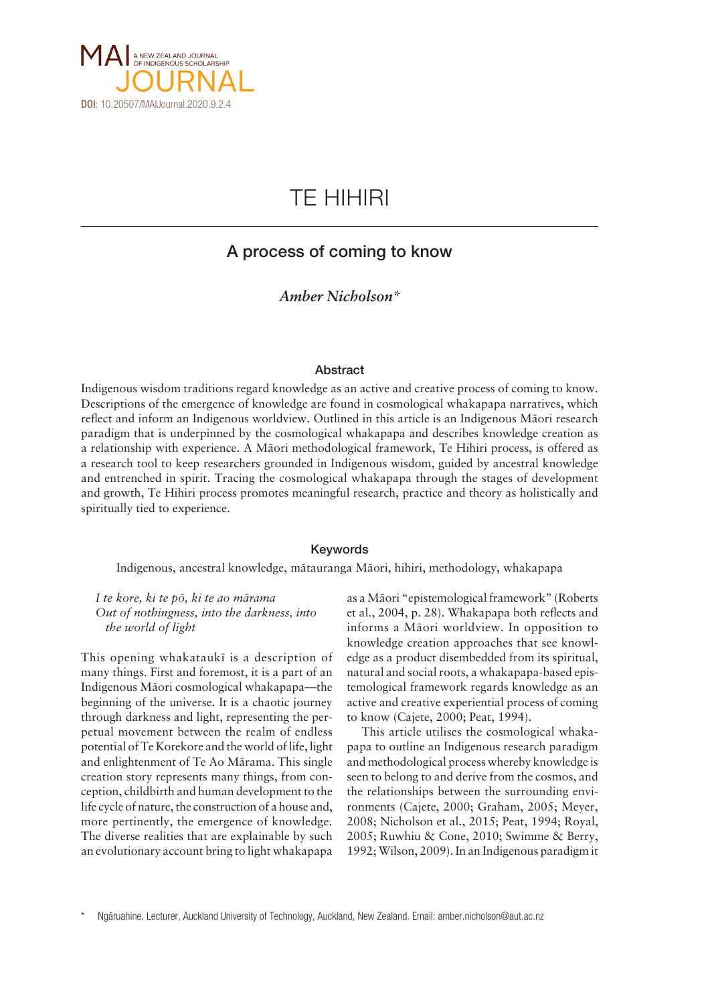

# TE HIHIRI

# A process of coming to know

### *Amber Nicholson\**

### Abstract

Indigenous wisdom traditions regard knowledge as an active and creative process of coming to know. Descriptions of the emergence of knowledge are found in cosmological whakapapa narratives, which reflect and inform an Indigenous worldview. Outlined in this article is an Indigenous Mäori research paradigm that is underpinned by the cosmological whakapapa and describes knowledge creation as a relationship with experience. A Mäori methodological framework, Te Hihiri process, is offered as a research tool to keep researchers grounded in Indigenous wisdom, guided by ancestral knowledge and entrenched in spirit. Tracing the cosmological whakapapa through the stages of development and growth, Te Hihiri process promotes meaningful research, practice and theory as holistically and spiritually tied to experience.

### Keywords

Indigenous, ancestral knowledge, mätauranga Mäori, hihiri, methodology, whakapapa

*I te kore, ki te pö, ki te ao märama Out of nothingness, into the darkness, into the world of light*

This opening whakataukï is a description of many things. First and foremost, it is a part of an Indigenous Mäori cosmological whakapapa—the beginning of the universe. It is a chaotic journey through darkness and light, representing the perpetual movement between the realm of endless potential of Te Korekore and the world of life, light and enlightenment of Te Ao Märama. This single creation story represents many things, from conception, childbirth and human development to the life cycle of nature, the construction of a house and, more pertinently, the emergence of knowledge. The diverse realities that are explainable by such an evolutionary account bring to light whakapapa

as a Mäori "epistemological framework" (Roberts et al., 2004, p. 28). Whakapapa both reflects and informs a Mäori worldview. In opposition to knowledge creation approaches that see knowledge as a product disembedded from its spiritual, natural and social roots, a whakapapa-based epistemological framework regards knowledge as an active and creative experiential process of coming to know (Cajete, 2000; Peat, 1994).

This article utilises the cosmological whakapapa to outline an Indigenous research paradigm and methodological process whereby knowledge is seen to belong to and derive from the cosmos, and the relationships between the surrounding environments (Cajete, 2000; Graham, 2005; Meyer, 2008; Nicholson et al., 2015; Peat, 1994; Royal, 2005; Ruwhiu & Cone, 2010; Swimme & Berry, 1992; Wilson, 2009). In an Indigenous paradigm it

Ngāruahine. Lecturer, Auckland University of Technology, Auckland, New Zealand. Email: amber.nicholson@aut.ac.nz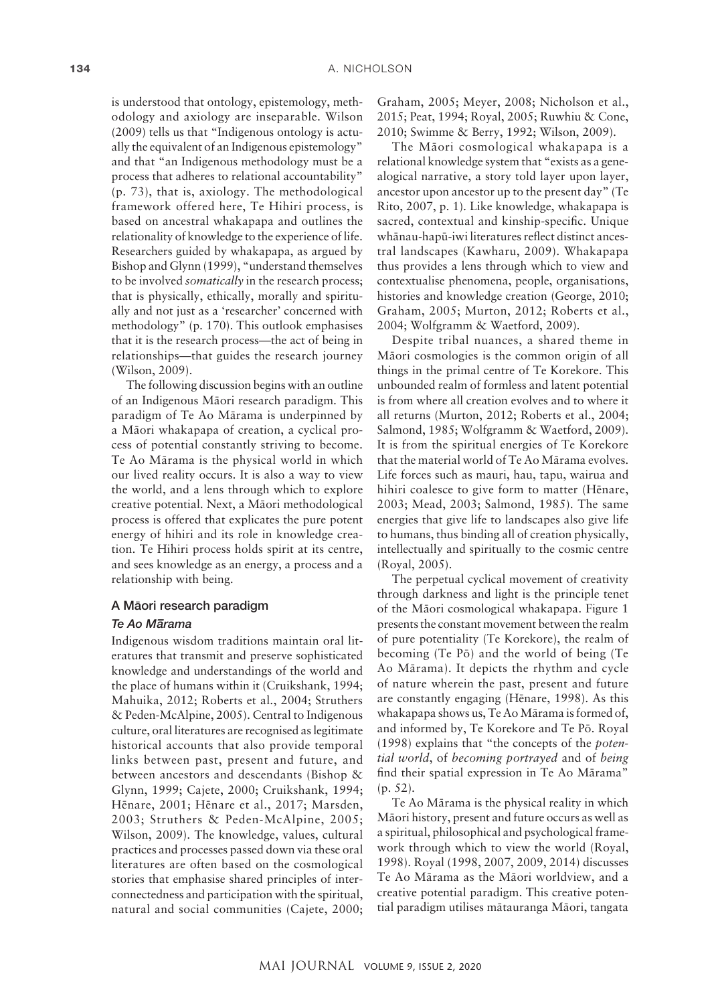is understood that ontology, epistemology, methodology and axiology are inseparable. Wilson (2009) tells us that "Indigenous ontology is actually the equivalent of an Indigenous epistemology" and that "an Indigenous methodology must be a process that adheres to relational accountability" (p. 73), that is, axiology. The methodological framework offered here, Te Hihiri process, is based on ancestral whakapapa and outlines the relationality of knowledge to the experience of life. Researchers guided by whakapapa, as argued by Bishop and Glynn (1999), "understand themselves to be involved *somatically* in the research process; that is physically, ethically, morally and spiritually and not just as a 'researcher' concerned with methodology" (p. 170). This outlook emphasises that it is the research process—the act of being in relationships—that guides the research journey (Wilson, 2009).

The following discussion begins with an outline of an Indigenous Mäori research paradigm. This paradigm of Te Ao Märama is underpinned by a Mäori whakapapa of creation, a cyclical process of potential constantly striving to become. Te Ao Märama is the physical world in which our lived reality occurs. It is also a way to view the world, and a lens through which to explore creative potential. Next, a Mäori methodological process is offered that explicates the pure potent energy of hihiri and its role in knowledge creation. Te Hihiri process holds spirit at its centre, and sees knowledge as an energy, a process and a relationship with being.

#### A Mäori research paradigm

### *Te Ao M– arama*

Indigenous wisdom traditions maintain oral literatures that transmit and preserve sophisticated knowledge and understandings of the world and the place of humans within it (Cruikshank, 1994; Mahuika, 2012; Roberts et al., 2004; Struthers & Peden-McAlpine, 2005). Central to Indigenous culture, oral literatures are recognised as legitimate historical accounts that also provide temporal links between past, present and future, and between ancestors and descendants (Bishop & Glynn, 1999; Cajete, 2000; Cruikshank, 1994; Hënare, 2001; Hënare et al., 2017; Marsden, 2003; Struthers & Peden-McAlpine, 2005; Wilson, 2009). The knowledge, values, cultural practices and processes passed down via these oral literatures are often based on the cosmological stories that emphasise shared principles of interconnectedness and participation with the spiritual, natural and social communities (Cajete, 2000; Graham, 2005; Meyer, 2008; Nicholson et al., 2015; Peat, 1994; Royal, 2005; Ruwhiu & Cone, 2010; Swimme & Berry, 1992; Wilson, 2009).

The Mäori cosmological whakapapa is a relational knowledge system that "exists as a genealogical narrative, a story told layer upon layer, ancestor upon ancestor up to the present day" (Te Rito, 2007, p. 1). Like knowledge, whakapapa is sacred, contextual and kinship-specific. Unique whänau-hapü-iwi literatures reflect distinct ancestral landscapes (Kawharu, 2009). Whakapapa thus provides a lens through which to view and contextualise phenomena, people, organisations, histories and knowledge creation (George, 2010; Graham, 2005; Murton, 2012; Roberts et al., 2004; Wolfgramm & Waetford, 2009).

Despite tribal nuances, a shared theme in Mäori cosmologies is the common origin of all things in the primal centre of Te Korekore. This unbounded realm of formless and latent potential is from where all creation evolves and to where it all returns (Murton, 2012; Roberts et al., 2004; Salmond, 1985; Wolfgramm & Waetford, 2009). It is from the spiritual energies of Te Korekore that the material world of Te Ao Märama evolves. Life forces such as mauri, hau, tapu, wairua and hihiri coalesce to give form to matter (Hënare, 2003; Mead, 2003; Salmond, 1985). The same energies that give life to landscapes also give life to humans, thus binding all of creation physically, intellectually and spiritually to the cosmic centre (Royal, 2005).

The perpetual cyclical movement of creativity through darkness and light is the principle tenet of the Mäori cosmological whakapapa. Figure 1 presents the constant movement between the realm of pure potentiality (Te Korekore), the realm of becoming (Te Pö) and the world of being (Te Ao Märama). It depicts the rhythm and cycle of nature wherein the past, present and future are constantly engaging (Hënare, 1998). As this whakapapa shows us, Te Ao Märama is formed of, and informed by, Te Korekore and Te Pö. Royal (1998) explains that "the concepts of the *potential world*, of *becoming portrayed* and of *being* find their spatial expression in Te Ao Märama" (p. 52).

Te Ao Märama is the physical reality in which Mäori history, present and future occurs as well as a spiritual, philosophical and psychological framework through which to view the world (Royal, 1998). Royal (1998, 2007, 2009, 2014) discusses Te Ao Märama as the Mäori worldview, and a creative potential paradigm. This creative potential paradigm utilises mätauranga Mäori, tangata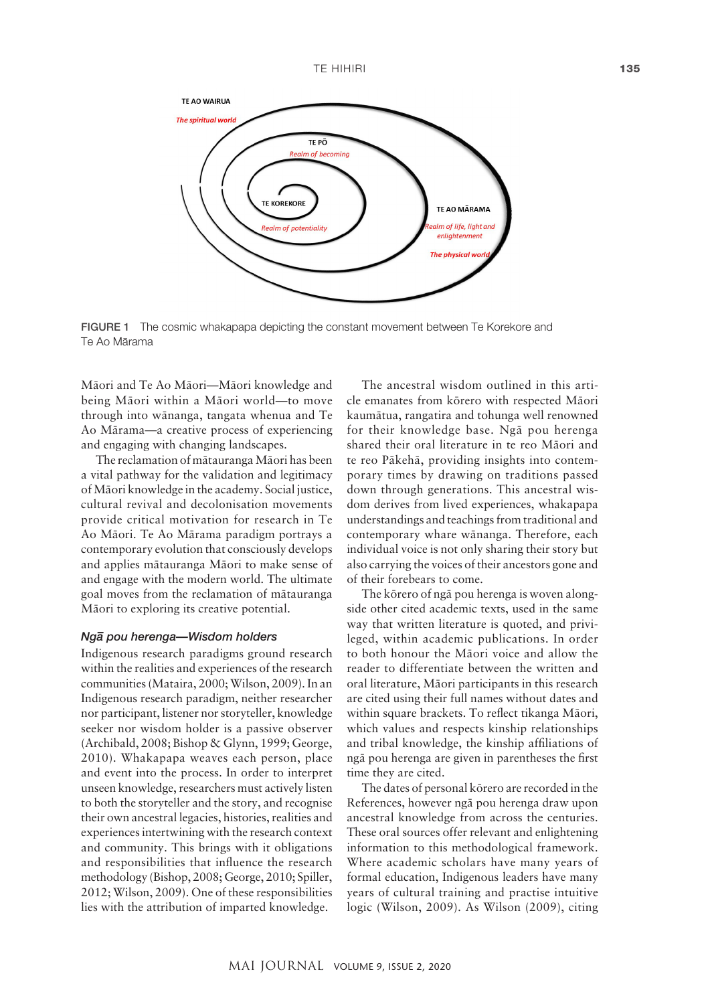

FIGURE 1 The cosmic whakapapa depicting the constant movement between Te Korekore and Te Ao Märama

Mäori and Te Ao Mäori—Mäori knowledge and being Mäori within a Mäori world—to move through into wänanga, tangata whenua and Te Ao Märama—a creative process of experiencing and engaging with changing landscapes.

The reclamation of mätauranga Mäori has been a vital pathway for the validation and legitimacy of Mäori knowledge in the academy. Social justice, cultural revival and decolonisation movements provide critical motivation for research in Te Ao Mäori. Te Ao Märama paradigm portrays a contemporary evolution that consciously develops and applies mätauranga Mäori to make sense of and engage with the modern world. The ultimate goal moves from the reclamation of mätauranga Mäori to exploring its creative potential.

## *Ng– a pou herenga—Wisdom holders*

Indigenous research paradigms ground research within the realities and experiences of the research communities (Mataira, 2000; Wilson, 2009). In an Indigenous research paradigm, neither researcher nor participant, listener nor storyteller, knowledge seeker nor wisdom holder is a passive observer (Archibald, 2008; Bishop & Glynn, 1999; George, 2010). Whakapapa weaves each person, place and event into the process. In order to interpret unseen knowledge, researchers must actively listen to both the storyteller and the story, and recognise their own ancestral legacies, histories, realities and experiences intertwining with the research context and community. This brings with it obligations and responsibilities that influence the research methodology (Bishop, 2008; George, 2010; Spiller, 2012; Wilson, 2009). One of these responsibilities lies with the attribution of imparted knowledge.

The ancestral wisdom outlined in this article emanates from körero with respected Mäori kaumätua, rangatira and tohunga well renowned for their knowledge base. Ngä pou herenga shared their oral literature in te reo Mäori and te reo Päkehä, providing insights into contemporary times by drawing on traditions passed down through generations. This ancestral wisdom derives from lived experiences, whakapapa understandings and teachings from traditional and contemporary whare wänanga. Therefore, each individual voice is not only sharing their story but also carrying the voices of their ancestors gone and of their forebears to come.

The körero of ngä pou herenga is woven alongside other cited academic texts, used in the same way that written literature is quoted, and privileged, within academic publications. In order to both honour the Mäori voice and allow the reader to differentiate between the written and oral literature, Mäori participants in this research are cited using their full names without dates and within square brackets. To reflect tikanga Mäori, which values and respects kinship relationships and tribal knowledge, the kinship affiliations of ngä pou herenga are given in parentheses the first time they are cited.

The dates of personal körero are recorded in the References, however ngä pou herenga draw upon ancestral knowledge from across the centuries. These oral sources offer relevant and enlightening information to this methodological framework. Where academic scholars have many years of formal education, Indigenous leaders have many years of cultural training and practise intuitive logic (Wilson, 2009). As Wilson (2009), citing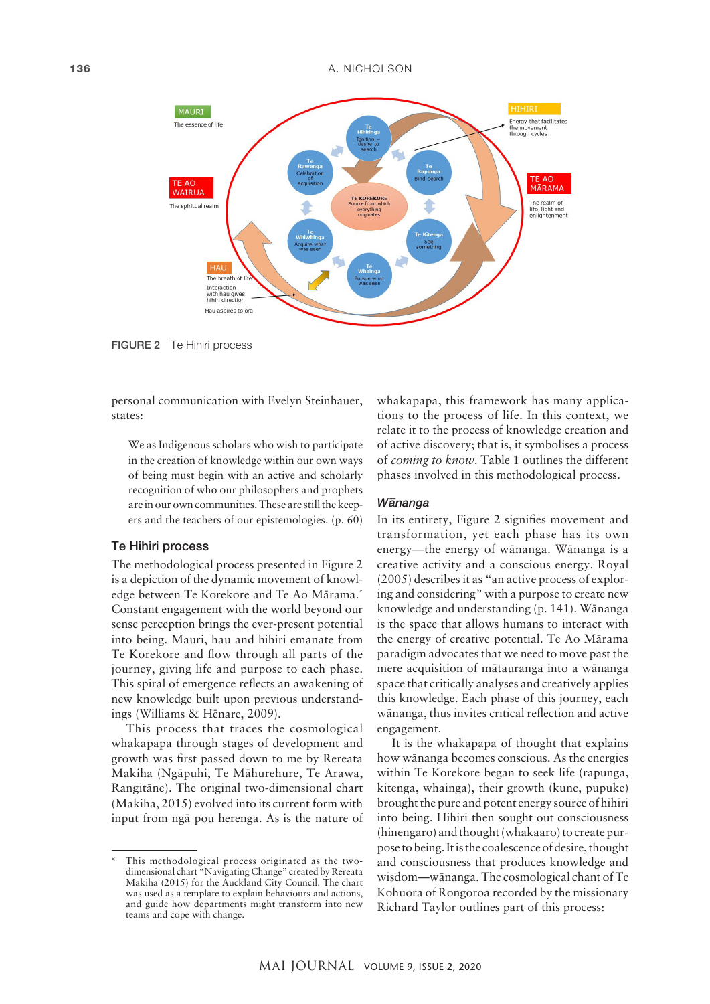

FIGURE 2 Te Hihiri process

personal communication with Evelyn Steinhauer, states:

We as Indigenous scholars who wish to participate in the creation of knowledge within our own ways of being must begin with an active and scholarly recognition of who our philosophers and prophets are in our own communities. These are still the keepers and the teachers of our epistemologies. (p. 60)

### Te Hihiri process

The methodological process presented in Figure 2 is a depiction of the dynamic movement of knowledge between Te Korekore and Te Ao Märama.\* Constant engagement with the world beyond our sense perception brings the ever-present potential into being. Mauri, hau and hihiri emanate from Te Korekore and flow through all parts of the journey, giving life and purpose to each phase. This spiral of emergence reflects an awakening of new knowledge built upon previous understandings (Williams & Hënare, 2009).

This process that traces the cosmological whakapapa through stages of development and growth was first passed down to me by Rereata Makiha (Ngäpuhi, Te Mähurehure, Te Arawa, Rangitäne). The original two-dimensional chart (Makiha, 2015) evolved into its current form with input from ngä pou herenga. As is the nature of whakapapa, this framework has many applications to the process of life. In this context, we relate it to the process of knowledge creation and of active discovery; that is, it symbolises a process of *coming to know*. Table 1 outlines the different phases involved in this methodological process.

### *W– ananga*

In its entirety, Figure 2 signifies movement and transformation, yet each phase has its own energy—the energy of wänanga. Wänanga is a creative activity and a conscious energy. Royal (2005) describes it as "an active process of exploring and considering" with a purpose to create new knowledge and understanding (p. 141). Wänanga is the space that allows humans to interact with the energy of creative potential. Te Ao Märama paradigm advocates that we need to move past the mere acquisition of mätauranga into a wänanga space that critically analyses and creatively applies this knowledge. Each phase of this journey, each wänanga, thus invites critical reflection and active engagement.

It is the whakapapa of thought that explains how wänanga becomes conscious. As the energies within Te Korekore began to seek life (rapunga, kitenga, whainga), their growth (kune, pupuke) brought the pure and potent energy source of hihiri into being. Hihiri then sought out consciousness (hinengaro) and thought (whakaaro) to create purpose to being. It is the coalescence of desire, thought and consciousness that produces knowledge and wisdom—wänanga. The cosmological chant of Te Kohuora of Rongoroa recorded by the missionary Richard Taylor outlines part of this process:

This methodological process originated as the twodimensional chart "Navigating Change" created by Rereata Makiha (2015) for the Auckland City Council. The chart was used as a template to explain behaviours and actions, and guide how departments might transform into new teams and cope with change.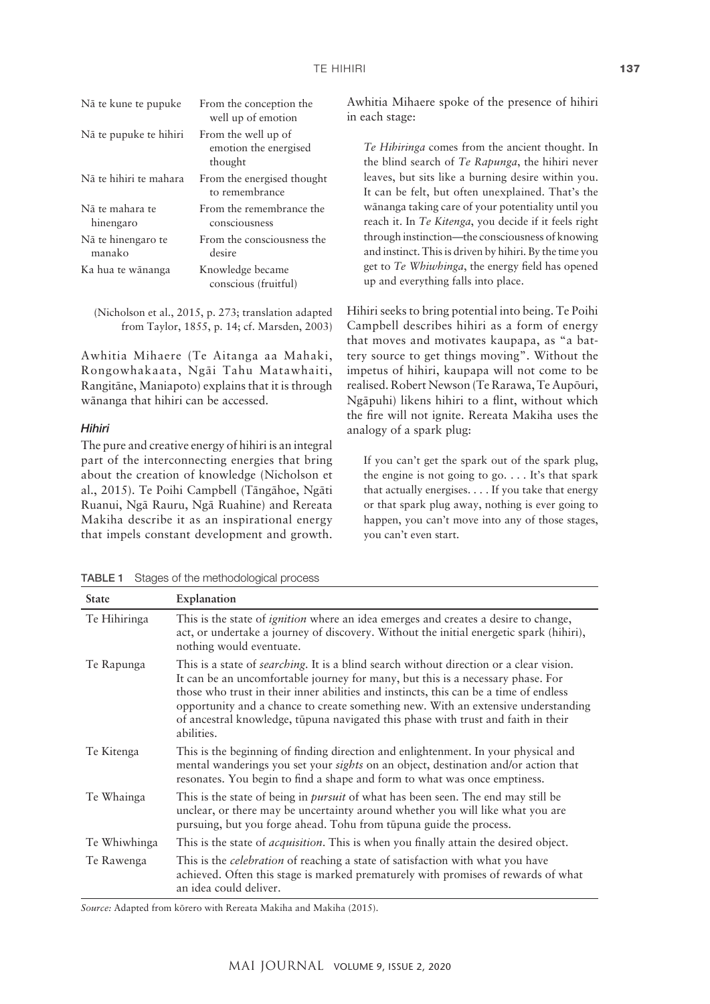| Nā te kune te pupuke         | From the conception the<br>well up of emotion           | Awhitia Mihaere spoke<br>in each stage:           |
|------------------------------|---------------------------------------------------------|---------------------------------------------------|
| Nā te pupuke te hihiri       | From the well up of<br>emotion the energised<br>thought | Te Hibiringa comes f<br>the blind search of T     |
| Nā te hihiri te mahara       | From the energised thought<br>to remembrance            | leaves, but sits like a<br>It can be felt, but of |
| Nā te mahara te<br>hinengaro | From the remembrance the<br>consciousness               | wānanga taking care<br>reach it. In Te Kiteng     |
| Nā te hinengaro te<br>manako | From the consciousness the<br>desire                    | through instinction-<br>and instinct. This is dri |
| Ka hua te wānanga            | Knowledge became<br>conscious (fruitful)                | get to Te Whiwhinga.<br>up and everything fal     |
|                              |                                                         |                                                   |

(Nicholson et al., 2015, p. 273; translation adapted from Taylor, 1855, p. 14; cf. Marsden, 2003)

Awhitia Mihaere (Te Aitanga aa Mahaki, Rongowhakaata, Ngäi Tahu Matawhaiti, Rangitäne, Maniapoto) explains that it is through wänanga that hihiri can be accessed.

### *Hihiri*

The pure and creative energy of hihiri is an integral part of the interconnecting energies that bring about the creation of knowledge (Nicholson et al., 2015). Te Poihi Campbell (Tängähoe, Ngäti Ruanui, Ngä Rauru, Ngä Ruahine) and Rereata Makiha describe it as an inspirational energy that impels constant development and growth. e of the presence of hihiri

*From the ancient thought.* In *the Rapunga*, the hihiri never burning desire within you. ten unexplained. That's the of your potentiality until you ra, you decide if it feels right the consciousness of knowing iven by hihiri. By the time you , the energy field has opened lls into place.

Hihiri seeks to bring potential into being. Te Poihi Campbell describes hihiri as a form of energy that moves and motivates kaupapa, as "a battery source to get things moving". Without the impetus of hihiri, kaupapa will not come to be realised. Robert Newson (Te Rarawa, Te Aupöuri, Ngäpuhi) likens hihiri to a flint, without which the fire will not ignite. Rereata Makiha uses the analogy of a spark plug:

If you can't get the spark out of the spark plug, the engine is not going to go. . . . It's that spark that actually energises. . . . If you take that energy or that spark plug away, nothing is ever going to happen, you can't move into any of those stages, you can't even start.

| <b>State</b> | Explanation                                                                                                                                                                                                                                                                                                                                                                                                                                                         |
|--------------|---------------------------------------------------------------------------------------------------------------------------------------------------------------------------------------------------------------------------------------------------------------------------------------------------------------------------------------------------------------------------------------------------------------------------------------------------------------------|
| Te Hihiringa | This is the state of <i>ignition</i> where an idea emerges and creates a desire to change,<br>act, or undertake a journey of discovery. Without the initial energetic spark (hihiri),<br>nothing would eventuate.                                                                                                                                                                                                                                                   |
| Te Rapunga   | This is a state of <i>searching</i> . It is a blind search without direction or a clear vision.<br>It can be an uncomfortable journey for many, but this is a necessary phase. For<br>those who trust in their inner abilities and instincts, this can be a time of endless<br>opportunity and a chance to create something new. With an extensive understanding<br>of ancestral knowledge, tūpuna navigated this phase with trust and faith in their<br>abilities. |
| Te Kitenga   | This is the beginning of finding direction and enlightenment. In your physical and<br>mental wanderings you set your <i>sights</i> on an object, destination and/or action that<br>resonates. You begin to find a shape and form to what was once emptiness.                                                                                                                                                                                                        |
| Te Whainga   | This is the state of being in <i>pursuit</i> of what has been seen. The end may still be<br>unclear, or there may be uncertainty around whether you will like what you are<br>pursuing, but you forge ahead. Tohu from tūpuna guide the process.                                                                                                                                                                                                                    |
| Te Whiwhinga | This is the state of <i>acquisition</i> . This is when you finally attain the desired object.                                                                                                                                                                                                                                                                                                                                                                       |
| Te Rawenga   | This is the <i>celebration</i> of reaching a state of satisfaction with what you have<br>achieved. Often this stage is marked prematurely with promises of rewards of what<br>an idea could deliver.                                                                                                                                                                                                                                                                |

TABLE 1 Stages of the methodological process

*Source:* Adapted from körero with Rereata Makiha and Makiha (2015).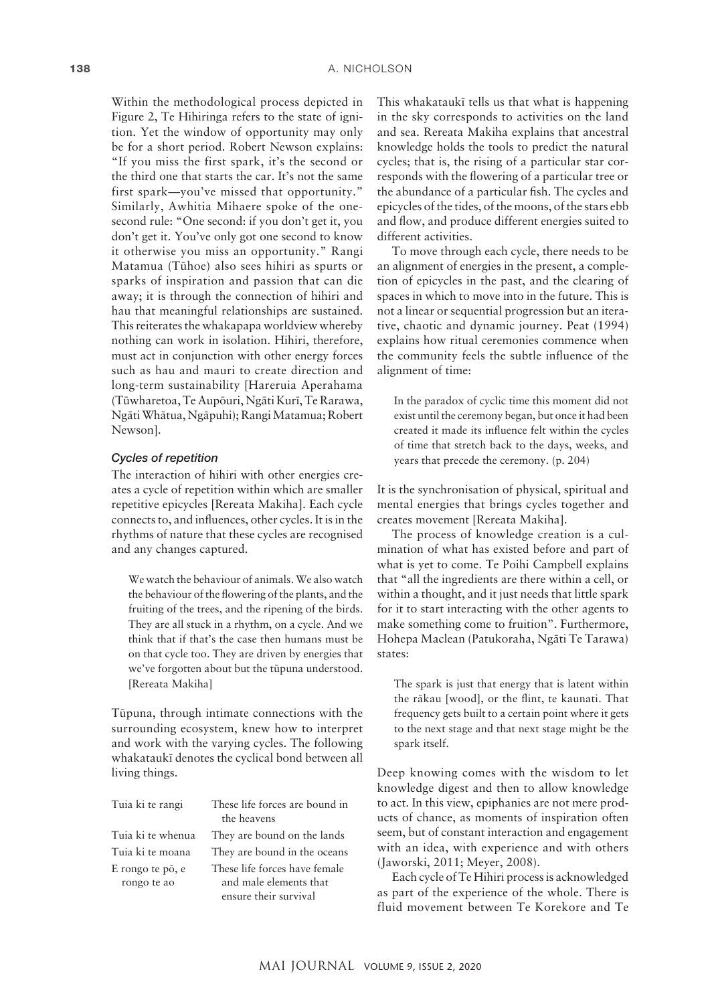Within the methodological process depicted in Figure 2, Te Hihiringa refers to the state of ignition. Yet the window of opportunity may only be for a short period. Robert Newson explains: "If you miss the first spark, it's the second or the third one that starts the car. It's not the same first spark—you've missed that opportunity." Similarly, Awhitia Mihaere spoke of the onesecond rule: "One second: if you don't get it, you don't get it. You've only got one second to know it otherwise you miss an opportunity." Rangi Matamua (Tühoe) also sees hihiri as spurts or sparks of inspiration and passion that can die away; it is through the connection of hihiri and hau that meaningful relationships are sustained. This reiterates the whakapapa worldview whereby nothing can work in isolation. Hihiri, therefore, must act in conjunction with other energy forces such as hau and mauri to create direction and long-term sustainability [Hareruia Aperahama (Tüwharetoa, Te Aupöuri, Ngäti Kurï, Te Rarawa, Ngäti Whätua, Ngäpuhi); Rangi Matamua; Robert Newson].

### *Cycles of repetition*

The interaction of hihiri with other energies creates a cycle of repetition within which are smaller repetitive epicycles [Rereata Makiha]. Each cycle connects to, and influences, other cycles. It is in the rhythms of nature that these cycles are recognised and any changes captured.

We watch the behaviour of animals. We also watch the behaviour of the flowering of the plants, and the fruiting of the trees, and the ripening of the birds. They are all stuck in a rhythm, on a cycle. And we think that if that's the case then humans must be on that cycle too. They are driven by energies that we've forgotten about but the tüpuna understood. [Rereata Makiha]

Tüpuna, through intimate connections with the surrounding ecosystem, knew how to interpret and work with the varying cycles. The following whakataukï denotes the cyclical bond between all living things.

| Tuia ki te rangi  | These life forces are bound in<br>the heavens |
|-------------------|-----------------------------------------------|
| Tuia ki te whenua | They are bound on the lands                   |
| Tuia ki te moana  | They are bound in the oceans                  |
| E rongo te pō, e  | These life forces have female                 |
| rongo te ao       | and male elements that                        |
|                   | ensure their survival                         |

This whakataukï tells us that what is happening in the sky corresponds to activities on the land and sea. Rereata Makiha explains that ancestral knowledge holds the tools to predict the natural cycles; that is, the rising of a particular star corresponds with the flowering of a particular tree or the abundance of a particular fish. The cycles and epicycles of the tides, of the moons, of the stars ebb and flow, and produce different energies suited to different activities.

To move through each cycle, there needs to be an alignment of energies in the present, a completion of epicycles in the past, and the clearing of spaces in which to move into in the future. This is not a linear or sequential progression but an iterative, chaotic and dynamic journey. Peat (1994) explains how ritual ceremonies commence when the community feels the subtle influence of the alignment of time:

In the paradox of cyclic time this moment did not exist until the ceremony began, but once it had been created it made its influence felt within the cycles of time that stretch back to the days, weeks, and years that precede the ceremony. (p. 204)

It is the synchronisation of physical, spiritual and mental energies that brings cycles together and creates movement [Rereata Makiha].

The process of knowledge creation is a culmination of what has existed before and part of what is yet to come. Te Poihi Campbell explains that "all the ingredients are there within a cell, or within a thought, and it just needs that little spark for it to start interacting with the other agents to make something come to fruition". Furthermore, Hohepa Maclean (Patukoraha, Ngäti Te Tarawa) states:

The spark is just that energy that is latent within the räkau [wood], or the flint, te kaunati. That frequency gets built to a certain point where it gets to the next stage and that next stage might be the spark itself.

Deep knowing comes with the wisdom to let knowledge digest and then to allow knowledge to act. In this view, epiphanies are not mere products of chance, as moments of inspiration often seem, but of constant interaction and engagement with an idea, with experience and with others (Jaworski, 2011; Meyer, 2008).

Each cycle of Te Hihiri process is acknowledged as part of the experience of the whole. There is fluid movement between Te Korekore and Te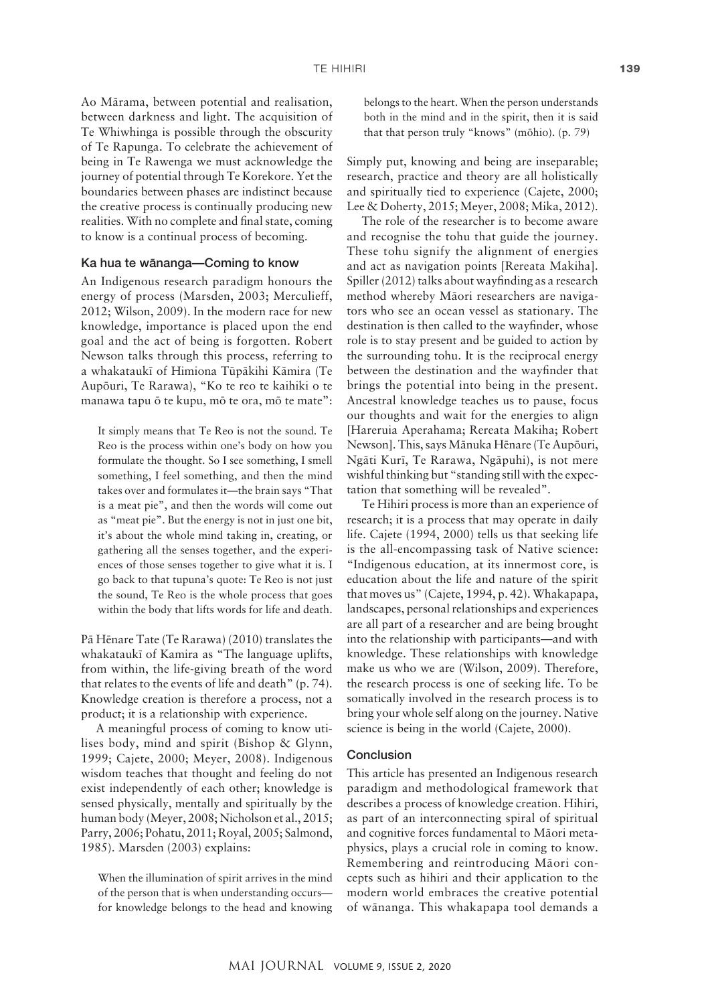Ao Märama, between potential and realisation, between darkness and light. The acquisition of Te Whiwhinga is possible through the obscurity of Te Rapunga. To celebrate the achievement of being in Te Rawenga we must acknowledge the journey of potential through Te Korekore. Yet the boundaries between phases are indistinct because the creative process is continually producing new realities. With no complete and final state, coming to know is a continual process of becoming.

### Ka hua te wänanga—Coming to know

An Indigenous research paradigm honours the energy of process (Marsden, 2003; Merculieff, 2012; Wilson, 2009). In the modern race for new knowledge, importance is placed upon the end goal and the act of being is forgotten. Robert Newson talks through this process, referring to a whakataukï of Himiona Tüpäkihi Kämira (Te Aupöuri, Te Rarawa), "Ko te reo te kaihiki o te manawa tapu ö te kupu, mö te ora, mö te mate":

It simply means that Te Reo is not the sound. Te Reo is the process within one's body on how you formulate the thought. So I see something, I smell something, I feel something, and then the mind takes over and formulates it—the brain says "That is a meat pie", and then the words will come out as "meat pie". But the energy is not in just one bit, it's about the whole mind taking in, creating, or gathering all the senses together, and the experiences of those senses together to give what it is. I go back to that tupuna's quote: Te Reo is not just the sound, Te Reo is the whole process that goes within the body that lifts words for life and death.

Pä Hënare Tate (Te Rarawa) (2010) translates the whakataukï of Kamira as "The language uplifts, from within, the life-giving breath of the word that relates to the events of life and death" (p. 74). Knowledge creation is therefore a process, not a product; it is a relationship with experience.

A meaningful process of coming to know utilises body, mind and spirit (Bishop & Glynn, 1999; Cajete, 2000; Meyer, 2008). Indigenous wisdom teaches that thought and feeling do not exist independently of each other; knowledge is sensed physically, mentally and spiritually by the human body (Meyer, 2008; Nicholson et al., 2015; Parry, 2006; Pohatu, 2011; Royal, 2005; Salmond, 1985). Marsden (2003) explains:

When the illumination of spirit arrives in the mind of the person that is when understanding occurs for knowledge belongs to the head and knowing belongs to the heart. When the person understands both in the mind and in the spirit, then it is said that that person truly "knows" (möhio). (p. 79)

Simply put, knowing and being are inseparable; research, practice and theory are all holistically and spiritually tied to experience (Cajete, 2000; Lee & Doherty, 2015; Meyer, 2008; Mika, 2012).

The role of the researcher is to become aware and recognise the tohu that guide the journey. These tohu signify the alignment of energies and act as navigation points [Rereata Makiha]. Spiller (2012) talks about wayfinding as a research method whereby Mäori researchers are navigators who see an ocean vessel as stationary. The destination is then called to the wayfinder, whose role is to stay present and be guided to action by the surrounding tohu. It is the reciprocal energy between the destination and the wayfinder that brings the potential into being in the present. Ancestral knowledge teaches us to pause, focus our thoughts and wait for the energies to align [Hareruia Aperahama; Rereata Makiha; Robert Newson]. This, says Mänuka Hënare (Te Aupöuri, Ngäti Kurï, Te Rarawa, Ngäpuhi), is not mere wishful thinking but "standing still with the expectation that something will be revealed".

Te Hihiri process is more than an experience of research; it is a process that may operate in daily life. Cajete (1994, 2000) tells us that seeking life is the all-encompassing task of Native science: "Indigenous education, at its innermost core, is education about the life and nature of the spirit that moves us" (Cajete, 1994, p. 42). Whakapapa, landscapes, personal relationships and experiences are all part of a researcher and are being brought into the relationship with participants—and with knowledge. These relationships with knowledge make us who we are (Wilson, 2009). Therefore, the research process is one of seeking life. To be somatically involved in the research process is to bring your whole self along on the journey. Native science is being in the world (Cajete, 2000).

#### Conclusion

This article has presented an Indigenous research paradigm and methodological framework that describes a process of knowledge creation. Hihiri, as part of an interconnecting spiral of spiritual and cognitive forces fundamental to Mäori metaphysics, plays a crucial role in coming to know. Remembering and reintroducing Mäori concepts such as hihiri and their application to the modern world embraces the creative potential of wänanga. This whakapapa tool demands a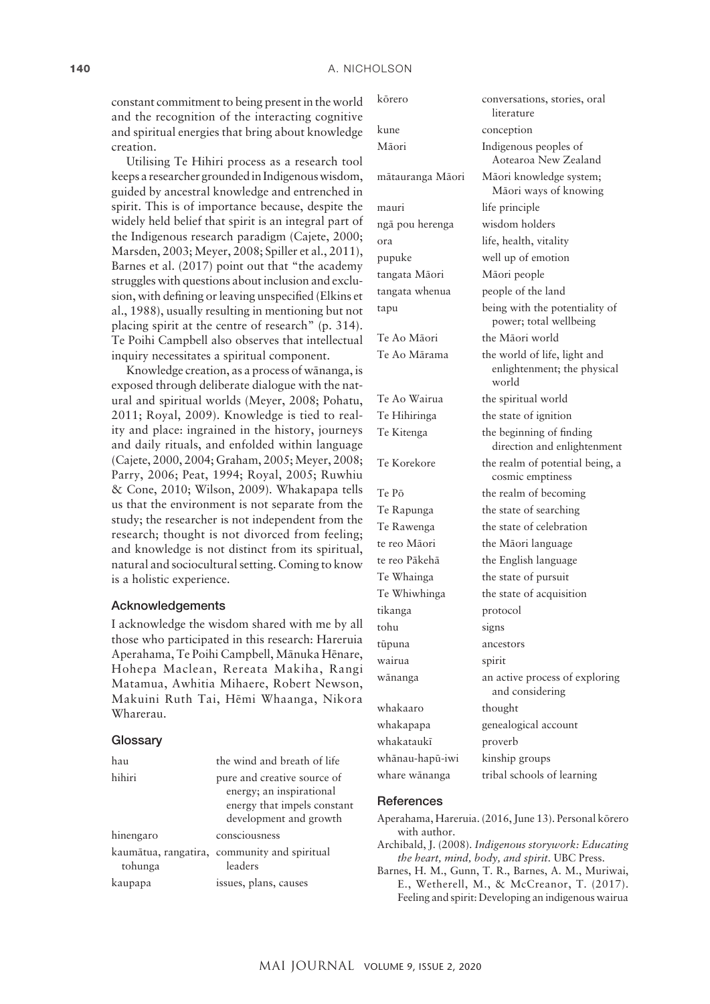constant commitment to being present in the world and the recognition of the interacting cognitive and spiritual energies that bring about knowledge creation.

Utilising Te Hihiri process as a research tool keeps a researcher grounded in Indigenous wisdom, guided by ancestral knowledge and entrenched in spirit. This is of importance because, despite the widely held belief that spirit is an integral part of the Indigenous research paradigm (Cajete, 2000; Marsden, 2003; Meyer, 2008; Spiller et al., 2011), Barnes et al. (2017) point out that "the academy struggles with questions about inclusion and exclusion, with defining or leaving unspecified (Elkins et al., 1988), usually resulting in mentioning but not placing spirit at the centre of research" (p. 314). Te Poihi Campbell also observes that intellectual inquiry necessitates a spiritual component.

Knowledge creation, as a process of wänanga, is exposed through deliberate dialogue with the natural and spiritual worlds (Meyer, 2008; Pohatu, 2011; Royal, 2009). Knowledge is tied to reality and place: ingrained in the history, journeys and daily rituals, and enfolded within language (Cajete, 2000, 2004; Graham, 2005; Meyer, 2008; Parry, 2006; Peat, 1994; Royal, 2005; Ruwhiu & Cone, 2010; Wilson, 2009). Whakapapa tells us that the environment is not separate from the study; the researcher is not independent from the research; thought is not divorced from feeling; and knowledge is not distinct from its spiritual, natural and sociocultural setting. Coming to know is a holistic experience.

### Acknowledgements

I acknowledge the wisdom shared with me by all those who participated in this research: Hareruia Aperahama, Te Poihi Campbell, Mänuka Hënare, Hohepa Maclean, Rereata Makiha, Rangi Matamua, Awhitia Mihaere, Robert Newson, Makuini Ruth Tai, Hëmi Whaanga, Nikora Wharerau.

### **Glossary**

| hau       | the wind and breath of life                                                                                      |
|-----------|------------------------------------------------------------------------------------------------------------------|
| hihiri    | pure and creative source of<br>energy; an inspirational<br>energy that impels constant<br>development and growth |
| hinengaro | consciousness                                                                                                    |
| tohunga   | kaumātua, rangatira, community and spiritual<br>leaders                                                          |
| kaupapa   | issues, plans, causes                                                                                            |

| kōrero           | conversations, stories, oral<br>literature                           |
|------------------|----------------------------------------------------------------------|
| kune             | conception                                                           |
| Māori            | Indigenous peoples of<br>Aotearoa New Zealand                        |
| mātauranga Māori | Māori knowledge system;<br>Māori ways of knowing                     |
| mauri            | life principle                                                       |
| ngā pou herenga  | wisdom holders                                                       |
| ora              | life, health, vitality                                               |
| pupuke           | well up of emotion                                                   |
| tangata Māori    | Māori people                                                         |
| tangata whenua   | people of the land                                                   |
| tapu             | being with the potentiality of<br>power; total wellbeing             |
| Te Ao Māori      | the Māori world                                                      |
| Te Ao Mārama     | the world of life, light and<br>enlightenment; the physical<br>world |
| Te Ao Wairua     | the spiritual world                                                  |
| Te Hihiringa     | the state of ignition                                                |
| Te Kitenga       | the beginning of finding<br>direction and enlightenment              |
| Te Korekore      | the realm of potential being, a<br>cosmic emptiness                  |
| Te Pō            | the realm of becoming                                                |
| Te Rapunga       | the state of searching                                               |
| Te Rawenga       | the state of celebration                                             |
| te reo Māori     | the Māori language                                                   |
| te reo Pākehā    | the English language                                                 |
| Te Whainga       | the state of pursuit                                                 |
| Te Whiwhinga     | the state of acquisition                                             |
| tikanga          | protocol                                                             |
| tohu             | signs                                                                |
| tūpuna           | ancestors                                                            |
| wairua           | spirit                                                               |
| wānanga          | an active process of exploring<br>and considering                    |
| whakaaro         | thought                                                              |
| whakapapa        | genealogical account                                                 |
| whakataukī       | proverb                                                              |
| whānau-hapū-iwi  | kinship groups                                                       |
| whare wānanga    | tribal schools of learning                                           |

#### **References**

- Aperahama, Hareruia. (2016, June 13). Personal körero with author.
- Archibald, J. (2008). *Indigenous storywork: Educating the heart, mind, body, and spirit*. UBC Press.
- Barnes, H. M., Gunn, T. R., Barnes, A. M., Muriwai, E., Wetherell, M., & McCreanor, T. (2017). Feeling and spirit: Developing an indigenous wairua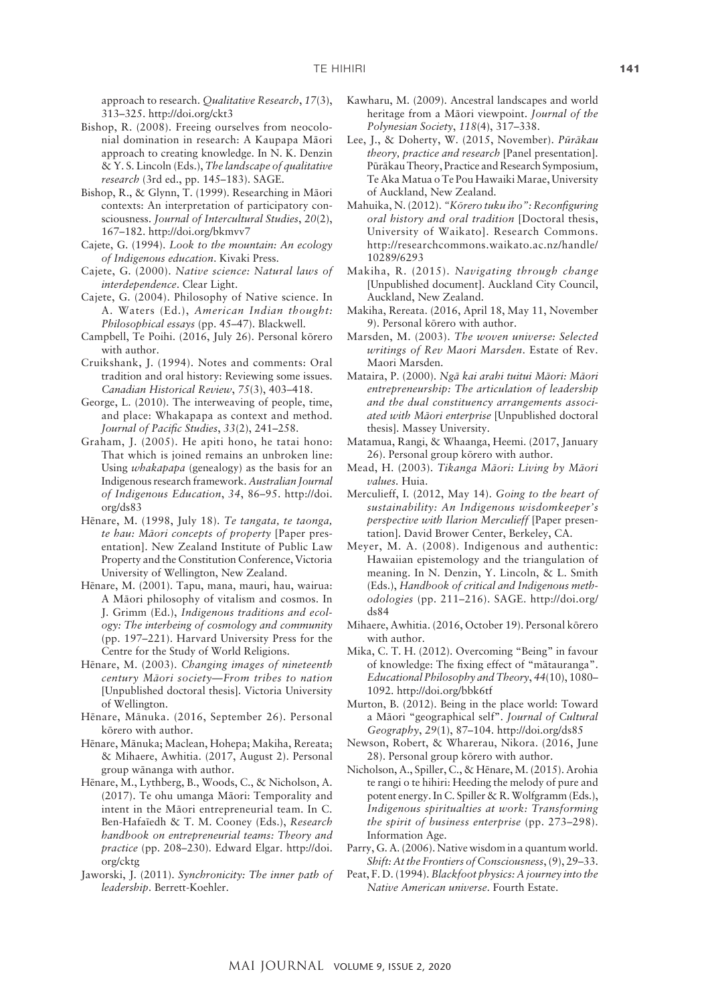approach to research. *Qualitative Research*, *17*(3), 313–325. <http://doi.org/ckt3>

- Bishop, R. (2008). Freeing ourselves from neocolonial domination in research: A Kaupapa Mäori approach to creating knowledge. In N. K. Denzin & Y. S. Lincoln (Eds.), *The landscape of qualitative research* (3rd ed., pp. 145–183). SAGE.
- Bishop, R., & Glynn, T. (1999). Researching in Mäori contexts: An interpretation of participatory consciousness. *Journal of Intercultural Studies*, *20*(2), 167–182. <http://doi.org/bkmvv7>
- Cajete, G. (1994). *Look to the mountain: An ecology of Indigenous education*. Kivaki Press.
- Cajete, G. (2000). *Native science: Natural laws of interdependence*. Clear Light.
- Cajete, G. (2004). Philosophy of Native science. In A. Waters (Ed.), *American Indian thought: Philosophical essays* (pp. 45–47). Blackwell.
- Campbell, Te Poihi. (2016, July 26). Personal körero with author.
- Cruikshank, J. (1994). Notes and comments: Oral tradition and oral history: Reviewing some issues. *Canadian Historical Review*, *75*(3), 403–418.
- George, L. (2010). The interweaving of people, time, and place: Whakapapa as context and method. *Journal of Pacific Studies*, *33*(2), 241–258.
- Graham, J. (2005). He apiti hono, he tatai hono: That which is joined remains an unbroken line: Using *whakapapa* (genealogy) as the basis for an Indigenous research framework. *Australian Journal of Indigenous Education*, *34*, 86–95. [http://doi.](http://doi.org/ds83) [org/ds83](http://doi.org/ds83)
- Hënare, M. (1998, July 18). *Te tangata, te taonga, te hau: Mäori concepts of property* [Paper presentation]. New Zealand Institute of Public Law Property and the Constitution Conference, Victoria University of Wellington, New Zealand.
- Hënare, M. (2001). Tapu, mana, mauri, hau, wairua: A Mäori philosophy of vitalism and cosmos. In J. Grimm (Ed.), *Indigenous traditions and ecology: The interbeing of cosmology and community* (pp. 197–221). Harvard University Press for the Centre for the Study of World Religions.
- Hënare, M. (2003). *Changing images of nineteenth century Mäori society—From tribes to nation* [Unpublished doctoral thesis]. Victoria University of Wellington.
- Hënare, Mänuka. (2016, September 26). Personal körero with author.
- Hënare, Mänuka; Maclean, Hohepa; Makiha, Rereata; & Mihaere, Awhitia. (2017, August 2). Personal group wänanga with author.
- Hënare, M., Lythberg, B., Woods, C., & Nicholson, A. (2017). Te ohu umanga Mäori: Temporality and intent in the Mäori entrepreneurial team. In C. Ben-Hafaïedh & T. M. Cooney (Eds.), *Research handbook on entrepreneurial teams: Theory and practice* (pp. 208–230). Edward Elgar. [http://doi.](http://doi.org/cktg) [org/cktg](http://doi.org/cktg)
- Jaworski, J. (2011). *Synchronicity: The inner path of leadership*. Berrett-Koehler.
- Kawharu, M. (2009). Ancestral landscapes and world heritage from a Mäori viewpoint. *Journal of the Polynesian Society*, *118*(4), 317–338.
- Lee, J., & Doherty, W. (2015, November). *Püräkau theory, practice and research* [Panel presentation]. Püräkau Theory, Practice and Research Symposium, Te Aka Matua o Te Pou Hawaiki Marae, University of Auckland, New Zealand.
- Mahuika, N. (2012). *"Körero tuku iho": Reconfiguring oral history and oral tradition* [Doctoral thesis, University of Waikato]. Research Commons. [http://researchcommons.waikato.ac.nz/handle/](http://researchcommons.waikato.ac.nz/handle/10289/6293) [10289/6293](http://researchcommons.waikato.ac.nz/handle/10289/6293)
- Makiha, R. (2015). *Navigating through change* [Unpublished document]. Auckland City Council, Auckland, New Zealand.
- Makiha, Rereata. (2016, April 18, May 11, November 9). Personal körero with author.
- Marsden, M. (2003). *The woven universe: Selected writings of Rev Maori Marsden*. Estate of Rev. Maori Marsden.
- Mataira, P. (2000). *Ngä kai arahi tuitui Mäori: Mäori entrepreneurship: The articulation of leadership and the dual constituency arrangements associated with Mäori enterprise* [Unpublished doctoral thesis]. Massey University.
- Matamua, Rangi, & Whaanga, Heemi. (2017, January 26). Personal group körero with author.
- Mead, H. (2003). *Tikanga Mäori: Living by Mäori values.* Huia.
- Merculieff, I. (2012, May 14). *Going to the heart of sustainability: An Indigenous wisdomkeeper's perspective with Ilarion Merculieff* [Paper presentation]. David Brower Center, Berkeley, CA.
- Meyer, M. A. (2008). Indigenous and authentic: Hawaiian epistemology and the triangulation of meaning. In N. Denzin, Y. Lincoln, & L. Smith (Eds.), *Handbook of critical and Indigenous methodologies* (pp. 211–216). SAGE. [http://doi.org/](http://doi.org/ds84) [ds84](http://doi.org/ds84)
- Mihaere, Awhitia. (2016, October 19). Personal körero with author.
- Mika, C. T. H. (2012). Overcoming "Being" in favour of knowledge: The fixing effect of "mätauranga". *Educational Philosophy and Theory*, *44*(10), 1080– 1092. <http://doi.org/bbk6tf>
- Murton, B. (2012). Being in the place world: Toward a Mäori "geographical self". *Journal of Cultural Geography*, *29*(1), 87–104. <http://doi.org/ds85>
- Newson, Robert, & Wharerau, Nikora. (2016, June 28). Personal group körero with author.
- Nicholson, A., Spiller, C., & Hënare, M. (2015). Arohia te rangi o te hihiri: Heeding the melody of pure and potent energy. In C. Spiller & R. Wolfgramm (Eds.), *Indigenous spiritualties at work: Transforming the spirit of business enterprise* (pp. 273–298). Information Age.
- Parry, G. A. (2006). Native wisdom in a quantum world. *Shift: At the Frontiers of Consciousness*, (9), 29–33.
- Peat, F. D. (1994). *Blackfoot physics: A journey into the Native American universe*. Fourth Estate.